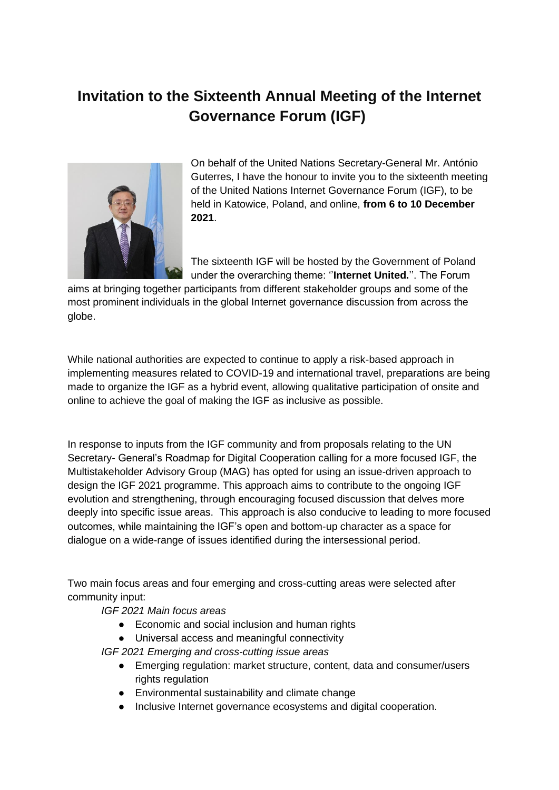## **Invitation to the Sixteenth Annual Meeting of the Internet Governance Forum [\(IGF\)](https://www.intgovforum.org/multilingual/lexicon/8#IGF)**



On behalf of the United Nations Secretary-General Mr. António Guterres, I have the honour to invite you to the sixteenth meeting of the United Nations Internet Governance Forum (IGF), to be held in Katowice, Poland, and online, **from 6 to 10 December 2021**.

The sixteenth IGF will be hosted by the Government of Poland under the overarching theme: ''**Internet United.**''. The Forum

aims at bringing together participants from different stakeholder groups and some of the most prominent individuals in the global Internet governance discussion from across the globe.

While national authorities are expected to continue to apply a risk-based approach in implementing measures related to COVID-19 and international travel, preparations are being made to organize the IGF as a hybrid event, allowing qualitative participation of onsite and online to achieve the goal of making the IGF as inclusive as possible.

In response to inputs from the IGF community and from proposals relating to the UN Secretary- General's Roadmap for Digital Cooperation calling for a more focused IGF, the Multistakeholder Advisory Group (MAG) has opted for using an issue-driven approach to design the IGF 2021 programme. This approach aims to contribute to the ongoing IGF evolution and strengthening, through encouraging focused discussion that delves more deeply into specific issue areas. This approach is also conducive to leading to more focused outcomes, while maintaining the IGF's open and bottom-up character as a space for dialogue on a wide-range of issues identified during the intersessional period.

Two main focus areas and four emerging and cross-cutting areas were selected after community input:

*IGF 2021 Main focus areas*

- Economic and social inclusion and human rights
- Universal access and meaningful connectivity

*IGF 2021 Emerging and cross-cutting issue areas*

- Emerging regulation: market structure, content, data and consumer/users rights regulation
- Environmental sustainability and climate change
- Inclusive Internet governance ecosystems and digital cooperation.